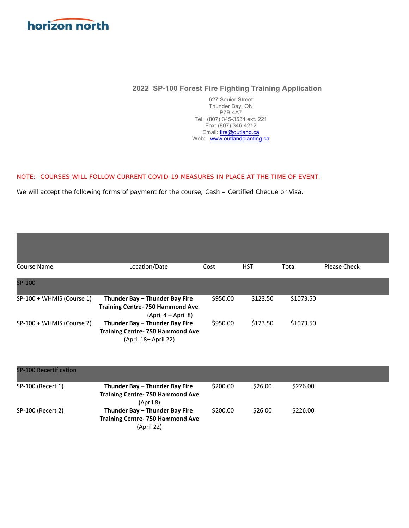

# **2022 SP-100 Forest Fire Fighting Training Application**

627 Squier Street Thunder Bay, ON P7B 4A7 Tel: (807) 345-3534 ext. 221 Fax: (807) 346-4212 Email: fire@outland.ca Web: www.outlandplanting.ca

### NOTE: COURSES WILL FOLLOW CURRENT COVID-19 MEASURES IN PLACE AT THE TIME OF EVENT.

We will accept the following forms of payment for the course, Cash – Certified Cheque or Visa.

| Course Name               | Location/Date                                                                                     | Cost     | <b>HST</b> | Total     | Please Check |
|---------------------------|---------------------------------------------------------------------------------------------------|----------|------------|-----------|--------------|
|                           |                                                                                                   |          |            |           |              |
| SP-100                    |                                                                                                   |          |            |           |              |
| SP-100 + WHMIS (Course 1) | Thunder Bay - Thunder Bay Fire<br><b>Training Centre- 750 Hammond Ave</b><br>(April 4 – April 8)  | \$950.00 | \$123.50   | \$1073.50 |              |
| SP-100 + WHMIS (Course 2) | Thunder Bay - Thunder Bay Fire<br><b>Training Centre- 750 Hammond Ave</b><br>(April 18– April 22) | \$950.00 | \$123.50   | \$1073.50 |              |

| <b>SP-100 Recertification</b> |                                                                                        |          |         |          |  |
|-------------------------------|----------------------------------------------------------------------------------------|----------|---------|----------|--|
| SP-100 (Recert 1)             | Thunder Bay - Thunder Bay Fire<br><b>Training Centre-750 Hammond Ave</b><br>(April 8)  | \$200.00 | \$26.00 | \$226.00 |  |
| SP-100 (Recert 2)             | Thunder Bay - Thunder Bay Fire<br><b>Training Centre-750 Hammond Ave</b><br>(April 22) | \$200.00 | \$26.00 | \$226.00 |  |